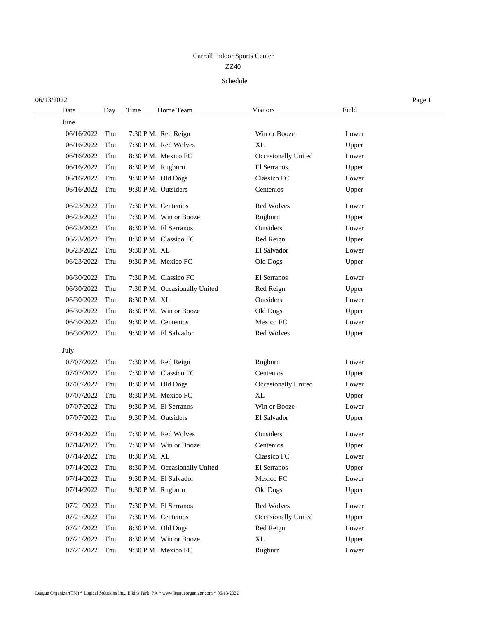## ZZ40 Carroll Indoor Sports Center

## Schedule

| 06/13/2022 |     |              |                               |                     |       | Page 1 |
|------------|-----|--------------|-------------------------------|---------------------|-------|--------|
| Date       | Day | Time         | Home Team                     | <b>Visitors</b>     | Field |        |
| June       |     |              |                               |                     |       |        |
| 06/16/2022 | Thu |              | 7:30 P.M. Red Reign           | Win or Booze        | Lower |        |
| 06/16/2022 | Thu |              | 7:30 P.M. Red Wolves          | XL                  | Upper |        |
| 06/16/2022 | Thu |              | 8:30 P.M. Mexico FC           | Occasionally United | Lower |        |
| 06/16/2022 | Thu |              | 8:30 P.M. Rugburn             | El Serranos         | Upper |        |
| 06/16/2022 | Thu |              | 9:30 P.M. Old Dogs            | Classico FC         | Lower |        |
| 06/16/2022 | Thu |              | 9:30 P.M. Outsiders           | Centenios           | Upper |        |
| 06/23/2022 | Thu |              | 7:30 P.M. Centenios           | <b>Red Wolves</b>   | Lower |        |
| 06/23/2022 | Thu |              | 7:30 P.M. Win or Booze        | Rugburn             | Upper |        |
| 06/23/2022 | Thu |              | 8:30 P.M. El Serranos         | Outsiders           | Lower |        |
| 06/23/2022 | Thu |              | 8:30 P.M. Classico FC         | Red Reign           | Upper |        |
| 06/23/2022 | Thu | 9:30 P.M. XL |                               | El Salvador         | Lower |        |
| 06/23/2022 | Thu |              | 9:30 P.M. Mexico FC           | Old Dogs            | Upper |        |
| 06/30/2022 | Thu |              | 7:30 P.M. Classico FC         | El Serranos         | Lower |        |
| 06/30/2022 | Thu |              | 7:30 P.M. Occasionally United | Red Reign           | Upper |        |
| 06/30/2022 | Thu | 8:30 P.M. XL |                               | Outsiders           | Lower |        |
| 06/30/2022 | Thu |              | 8:30 P.M. Win or Booze        | Old Dogs            | Upper |        |
| 06/30/2022 | Thu |              | 9:30 P.M. Centenios           | Mexico FC           | Lower |        |
| 06/30/2022 | Thu |              | 9:30 P.M. El Salvador         | Red Wolves          | Upper |        |
| July       |     |              |                               |                     |       |        |
| 07/07/2022 | Thu |              | 7:30 P.M. Red Reign           | Rugburn             | Lower |        |
| 07/07/2022 | Thu |              | 7:30 P.M. Classico FC         | Centenios           | Upper |        |
| 07/07/2022 | Thu |              | 8:30 P.M. Old Dogs            | Occasionally United | Lower |        |
| 07/07/2022 | Thu |              | 8:30 P.M. Mexico FC           | XL                  | Upper |        |
| 07/07/2022 | Thu |              | 9:30 P.M. El Serranos         | Win or Booze        | Lower |        |
| 07/07/2022 | Thu |              | 9:30 P.M. Outsiders           | El Salvador         | Upper |        |
| 07/14/2022 | Thu |              | 7:30 P.M. Red Wolves          | Outsiders           | Lower |        |
| 07/14/2022 | Thu |              | 7:30 P.M. Win or Booze        | Centenios           | Upper |        |
| 07/14/2022 | Thu | 8:30 P.M. XL |                               | Classico FC         | Lower |        |
| 07/14/2022 | Thu |              | 8:30 P.M. Occasionally United | El Serranos         | Upper |        |
| 07/14/2022 | Thu |              | 9:30 P.M. El Salvador         | Mexico FC           | Lower |        |
| 07/14/2022 | Thu |              | 9:30 P.M. Rugburn             | Old Dogs            | Upper |        |
| 07/21/2022 | Thu |              | 7:30 P.M. El Serranos         | Red Wolves          | Lower |        |
| 07/21/2022 | Thu |              | 7:30 P.M. Centenios           | Occasionally United | Upper |        |
| 07/21/2022 | Thu |              | 8:30 P.M. Old Dogs            | Red Reign           | Lower |        |
| 07/21/2022 | Thu |              | 8:30 P.M. Win or Booze        | XL                  | Upper |        |
| 07/21/2022 | Thu |              | 9:30 P.M. Mexico FC           | Rugburn             | Lower |        |